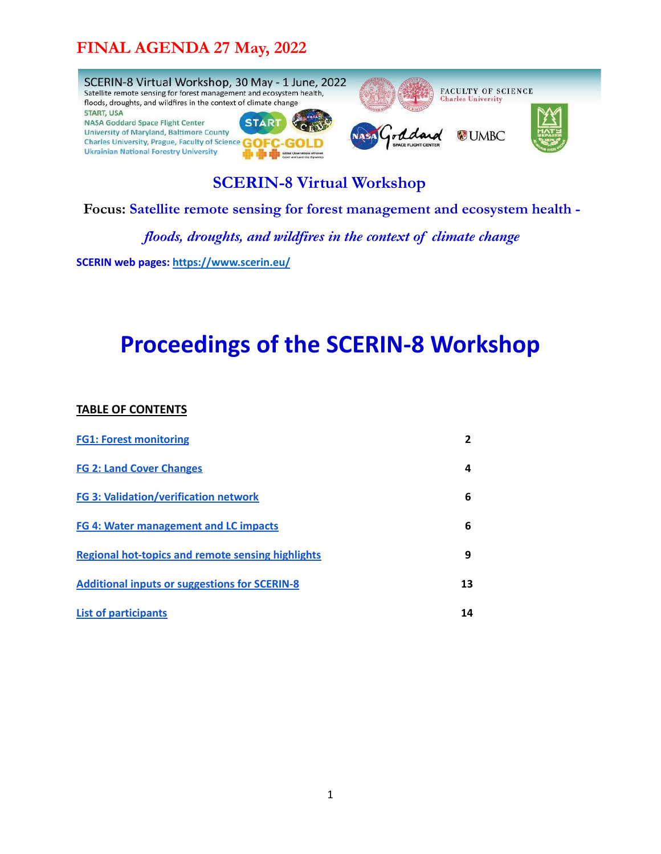

**SCERIN-8 Virtual Workshop**

**Focus: Satellite remote sensing for forest management and ecosystem health -**

*floods, droughts, and wildfires in the context of climate change*

**SCERIN web pages: <https://www.scerin.eu/>**

# **Proceedings of the SCERIN-8 Workshop**

#### **TABLE OF CONTENTS**

| <b>FG1: Forest monitoring</b>                        | 2  |
|------------------------------------------------------|----|
| <b>FG 2: Land Cover Changes</b>                      | 4  |
| <b>FG 3: Validation/verification network</b>         | 6  |
| <b>FG 4: Water management and LC impacts</b>         | 6  |
| Regional hot-topics and remote sensing highlights    | 9  |
| <b>Additional inputs or suggestions for SCERIN-8</b> | 13 |
| <b>List of participants</b>                          | 14 |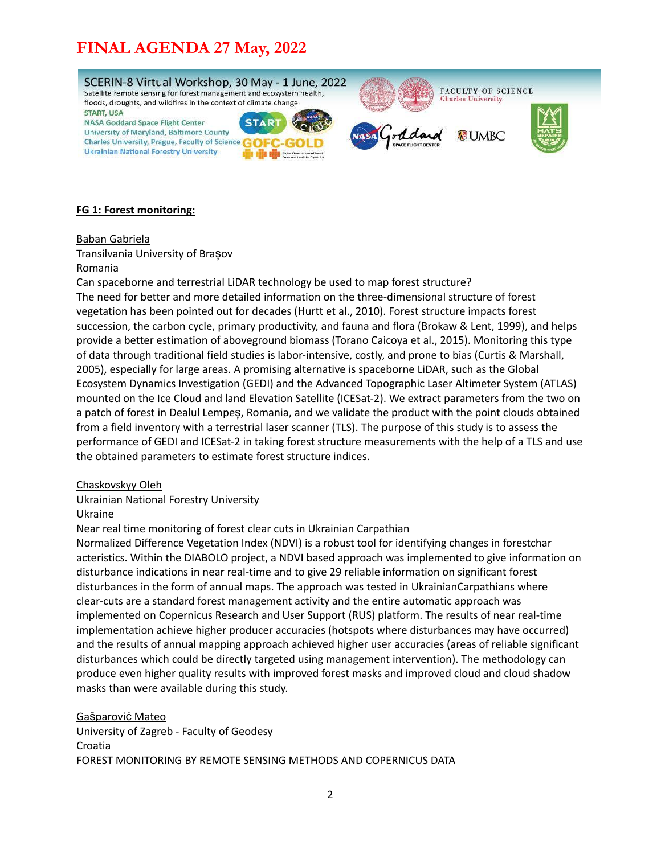

#### <span id="page-1-0"></span>**FG 1: Forest monitoring:**

Baban Gabriela

Transilvania University of Brașov

#### Romania

Can spaceborne and terrestrial LiDAR technology be used to map forest structure? The need for better and more detailed information on the three-dimensional structure of forest vegetation has been pointed out for decades (Hurtt et al., 2010). Forest structure impacts forest succession, the carbon cycle, primary productivity, and fauna and flora (Brokaw & Lent, 1999), and helps provide a better estimation of aboveground biomass (Torano Caicoya et al., 2015). Monitoring this type of data through traditional field studies is labor-intensive, costly, and prone to bias (Curtis & Marshall, 2005), especially for large areas. A promising alternative is spaceborne LiDAR, such as the Global Ecosystem Dynamics Investigation (GEDI) and the Advanced Topographic Laser Altimeter System (ATLAS) mounted on the Ice Cloud and land Elevation Satellite (ICESat-2). We extract parameters from the two on a patch of forest in Dealul Lempeș, Romania, and we validate the product with the point clouds obtained from a field inventory with a terrestrial laser scanner (TLS). The purpose of this study is to assess the performance of GEDI and ICESat-2 in taking forest structure measurements with the help of a TLS and use the obtained parameters to estimate forest structure indices.

#### Chaskovskyy Oleh

Ukrainian National Forestry University

Ukraine

Near real time monitoring of forest clear cuts in Ukrainian Carpathian

Normalized Difference Vegetation Index (NDVI) is a robust tool for identifying changes in forestchar acteristics. Within the DIABOLO project, a NDVI based approach was implemented to give information on disturbance indications in near real-time and to give 29 reliable information on significant forest disturbances in the form of annual maps. The approach was tested in UkrainianCarpathians where clear-cuts are a standard forest management activity and the entire automatic approach was implemented on Copernicus Research and User Support (RUS) platform. The results of near real-time implementation achieve higher producer accuracies (hotspots where disturbances may have occurred) and the results of annual mapping approach achieved higher user accuracies (areas of reliable significant disturbances which could be directly targeted using management intervention). The methodology can produce even higher quality results with improved forest masks and improved cloud and cloud shadow masks than were available during this study.

Gašparović Mateo University of Zagreb - Faculty of Geodesy Croatia FOREST MONITORING BY REMOTE SENSING METHODS AND COPERNICUS DATA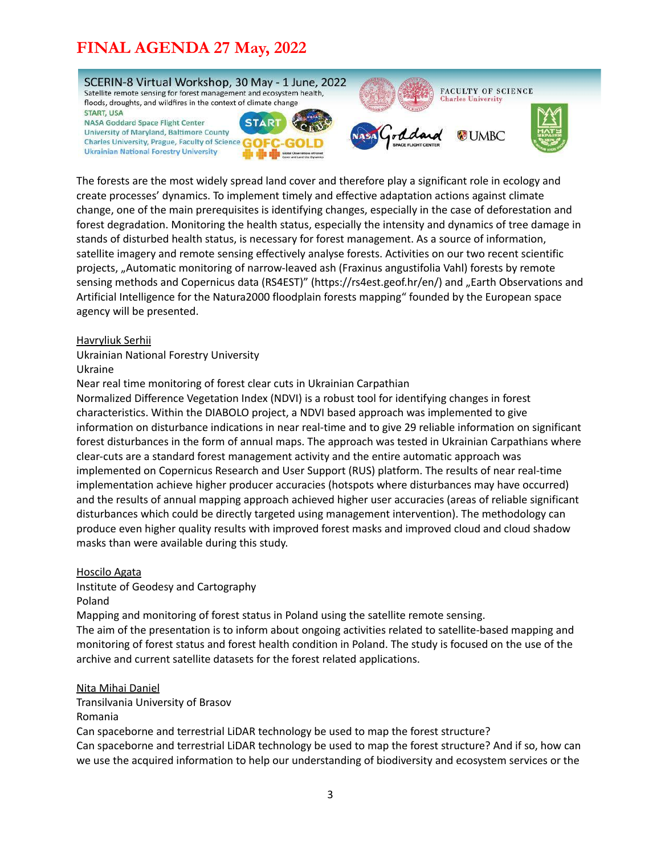

The forests are the most widely spread land cover and therefore play a significant role in ecology and create processes' dynamics. To implement timely and effective adaptation actions against climate change, one of the main prerequisites is identifying changes, especially in the case of deforestation and forest degradation. Monitoring the health status, especially the intensity and dynamics of tree damage in stands of disturbed health status, is necessary for forest management. As a source of information, satellite imagery and remote sensing effectively analyse forests. Activities on our two recent scientific projects, "Automatic monitoring of narrow-leaved ash (Fraxinus angustifolia Vahl) forests by remote sensing methods and Copernicus data (RS4EST)" (https://rs4est.geof.hr/en/) and "Earth Observations and Artificial Intelligence for the Natura2000 floodplain forests mapping" founded by the European space agency will be presented.

#### Havryliuk Serhii

Ukrainian National Forestry University

Ukraine

Near real time monitoring of forest clear cuts in Ukrainian Carpathian

Normalized Difference Vegetation Index (NDVI) is a robust tool for identifying changes in forest characteristics. Within the DIABOLO project, a NDVI based approach was implemented to give information on disturbance indications in near real-time and to give 29 reliable information on significant forest disturbances in the form of annual maps. The approach was tested in Ukrainian Carpathians where clear-cuts are a standard forest management activity and the entire automatic approach was implemented on Copernicus Research and User Support (RUS) platform. The results of near real-time implementation achieve higher producer accuracies (hotspots where disturbances may have occurred) and the results of annual mapping approach achieved higher user accuracies (areas of reliable significant disturbances which could be directly targeted using management intervention). The methodology can produce even higher quality results with improved forest masks and improved cloud and cloud shadow masks than were available during this study.

#### Hoscilo Agata

Institute of Geodesy and Cartography

Poland

Mapping and monitoring of forest status in Poland using the satellite remote sensing.

The aim of the presentation is to inform about ongoing activities related to satellite-based mapping and monitoring of forest status and forest health condition in Poland. The study is focused on the use of the archive and current satellite datasets for the forest related applications.

#### Nita Mihai Daniel

Transilvania University of Brasov Romania

Can spaceborne and terrestrial LiDAR technology be used to map the forest structure? Can spaceborne and terrestrial LiDAR technology be used to map the forest structure? And if so, how can

we use the acquired information to help our understanding of biodiversity and ecosystem services or the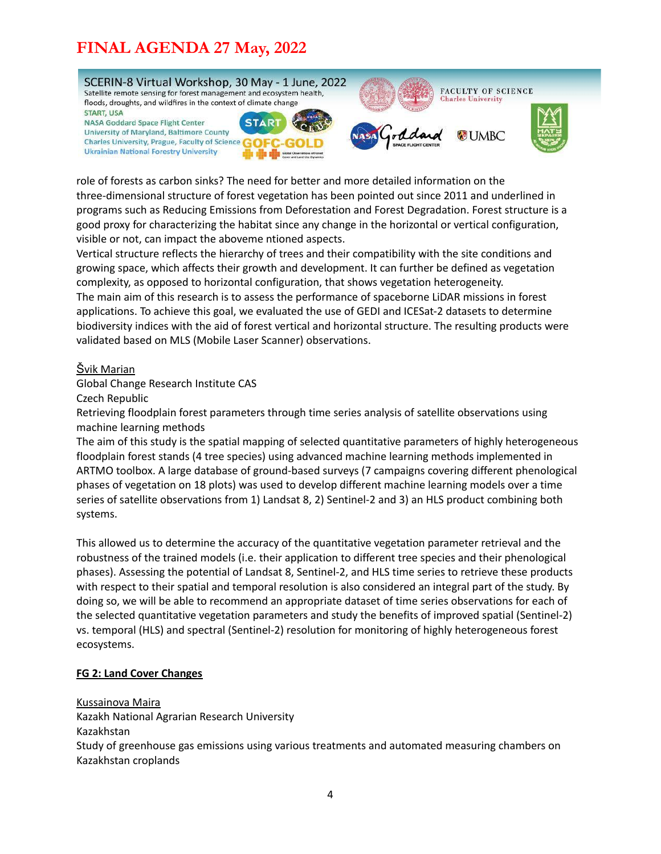

role of forests as carbon sinks? The need for better and more detailed information on the three-dimensional structure of forest vegetation has been pointed out since 2011 and underlined in programs such as Reducing Emissions from Deforestation and Forest Degradation. Forest structure is a good proxy for characterizing the habitat since any change in the horizontal or vertical configuration, visible or not, can impact the aboveme ntioned aspects.

Vertical structure reflects the hierarchy of trees and their compatibility with the site conditions and growing space, which affects their growth and development. It can further be defined as vegetation complexity, as opposed to horizontal configuration, that shows vegetation heterogeneity. The main aim of this research is to assess the performance of spaceborne LiDAR missions in forest applications. To achieve this goal, we evaluated the use of GEDI and ICESat-2 datasets to determine biodiversity indices with the aid of forest vertical and horizontal structure. The resulting products were validated based on MLS (Mobile Laser Scanner) observations.

#### Švik Marian

Global Change Research Institute CAS

Czech Republic

Retrieving floodplain forest parameters through time series analysis of satellite observations using machine learning methods

The aim of this study is the spatial mapping of selected quantitative parameters of highly heterogeneous floodplain forest stands (4 tree species) using advanced machine learning methods implemented in ARTMO toolbox. A large database of ground-based surveys (7 campaigns covering different phenological phases of vegetation on 18 plots) was used to develop different machine learning models over a time series of satellite observations from 1) Landsat 8, 2) Sentinel-2 and 3) an HLS product combining both systems.

This allowed us to determine the accuracy of the quantitative vegetation parameter retrieval and the robustness of the trained models (i.e. their application to different tree species and their phenological phases). Assessing the potential of Landsat 8, Sentinel-2, and HLS time series to retrieve these products with respect to their spatial and temporal resolution is also considered an integral part of the study. By doing so, we will be able to recommend an appropriate dataset of time series observations for each of the selected quantitative vegetation parameters and study the benefits of improved spatial (Sentinel-2) vs. temporal (HLS) and spectral (Sentinel-2) resolution for monitoring of highly heterogeneous forest ecosystems.

#### <span id="page-3-0"></span>**FG 2: Land Cover Changes**

Kussainova Maira

Kazakh National Agrarian Research University Kazakhstan Study of greenhouse gas emissions using various treatments and automated measuring chambers on Kazakhstan croplands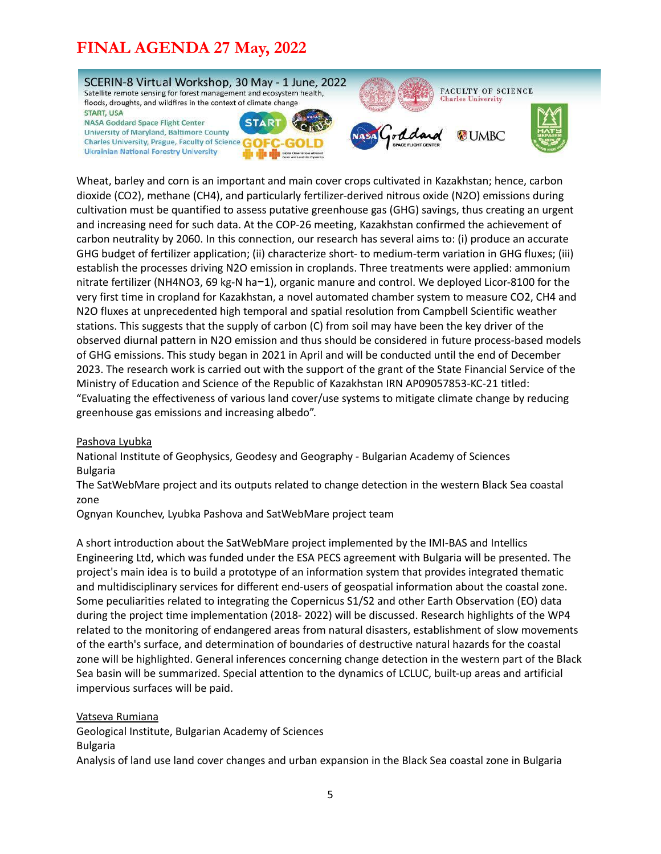

Wheat, barley and corn is an important and main cover crops cultivated in Kazakhstan; hence, carbon dioxide (CO2), methane (CH4), and particularly fertilizer-derived nitrous oxide (N2O) emissions during cultivation must be quantified to assess putative greenhouse gas (GHG) savings, thus creating an urgent and increasing need for such data. At the COP-26 meeting, Kazakhstan confirmed the achievement of carbon neutrality by 2060. In this connection, our research has several aims to: (i) produce an accurate GHG budget of fertilizer application; (ii) characterize short- to medium-term variation in GHG fluxes; (iii) establish the processes driving N2O emission in croplands. Three treatments were applied: ammonium nitrate fertilizer (NH4NO3, 69 kg-N ha−1), organic manure and control. We deployed Licor-8100 for the very first time in cropland for Kazakhstan, a novel automated chamber system to measure CO2, CH4 and N2O fluxes at unprecedented high temporal and spatial resolution from Campbell Scientific weather stations. This suggests that the supply of carbon (C) from soil may have been the key driver of the observed diurnal pattern in N2O emission and thus should be considered in future process-based models of GHG emissions. This study began in 2021 in April and will be conducted until the end of December 2023. The research work is carried out with the support of the grant of the State Financial Service of the Ministry of Education and Science of the Republic of Kazakhstan IRN AP09057853-KC-21 titled: "Evaluating the effectiveness of various land cover/use systems to mitigate climate change by reducing greenhouse gas emissions and increasing albedo".

#### Pashova Lyubka

National Institute of Geophysics, Geodesy and Geography - Bulgarian Academy of Sciences Bulgaria

The SatWebMare project and its outputs related to change detection in the western Black Sea coastal zone

Ognyan Kounchev, Lyubka Pashova and SatWebMare project team

A short introduction about the SatWebMare project implemented by the IMI-BAS and Intellics Engineering Ltd, which was funded under the ESA PECS agreement with Bulgaria will be presented. The project's main idea is to build a prototype of an information system that provides integrated thematic and multidisciplinary services for different end-users of geospatial information about the coastal zone. Some peculiarities related to integrating the Copernicus S1/S2 and other Earth Observation (EO) data during the project time implementation (2018- 2022) will be discussed. Research highlights of the WP4 related to the monitoring of endangered areas from natural disasters, establishment of slow movements of the earth's surface, and determination of boundaries of destructive natural hazards for the coastal zone will be highlighted. General inferences concerning change detection in the western part of the Black Sea basin will be summarized. Special attention to the dynamics of LCLUC, built-up areas and artificial impervious surfaces will be paid.

#### Vatseva Rumiana

Geological Institute, Bulgarian Academy of Sciences

#### Bulgaria

Analysis of land use land cover changes and urban expansion in the Black Sea coastal zone in Bulgaria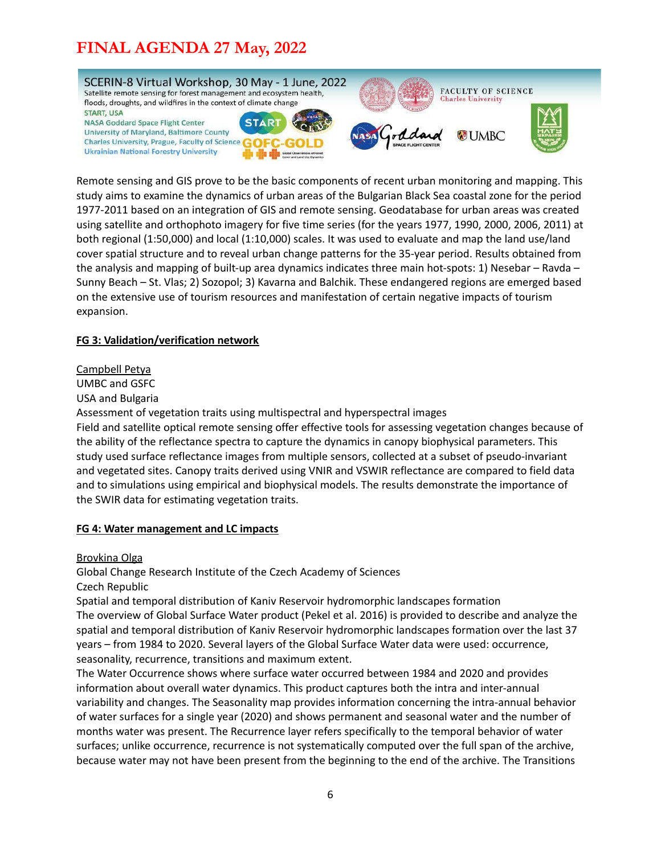

Remote sensing and GIS prove to be the basic components of recent urban monitoring and mapping. This study aims to examine the dynamics of urban areas of the Bulgarian Black Sea coastal zone for the period 1977-2011 based on an integration of GIS and remote sensing. Geodatabase for urban areas was created using satellite and orthophoto imagery for five time series (for the years 1977, 1990, 2000, 2006, 2011) at both regional (1:50,000) and local (1:10,000) scales. It was used to evaluate and map the land use/land cover spatial structure and to reveal urban change patterns for the 35-year period. Results obtained from the analysis and mapping of built-up area dynamics indicates three main hot-spots: 1) Nesebar – Ravda – Sunny Beach – St. Vlas; 2) Sozopol; 3) Kavarna and Balchik. These endangered regions are emerged based on the extensive use of tourism resources and manifestation of certain negative impacts of tourism expansion.

#### <span id="page-5-0"></span>**FG 3: Validation/verification network**

#### Campbell Petya

UMBC and GSFC

USA and Bulgaria

Assessment of vegetation traits using multispectral and hyperspectral images

Field and satellite optical remote sensing offer effective tools for assessing vegetation changes because of the ability of the reflectance spectra to capture the dynamics in canopy biophysical parameters. This study used surface reflectance images from multiple sensors, collected at a subset of pseudo-invariant and vegetated sites. Canopy traits derived using VNIR and VSWIR reflectance are compared to field data and to simulations using empirical and biophysical models. The results demonstrate the importance of the SWIR data for estimating vegetation traits.

#### <span id="page-5-1"></span>**FG 4: Water management and LC impacts**

Brovkina Olga

Global Change Research Institute of the Czech Academy of Sciences

Czech Republic

Spatial and temporal distribution of Kaniv Reservoir hydromorphic landscapes formation The overview of Global Surface Water product (Pekel et al. 2016) is provided to describe and analyze the spatial and temporal distribution of Kaniv Reservoir hydromorphic landscapes formation over the last 37 years – from 1984 to 2020. Several layers of the Global Surface Water data were used: occurrence, seasonality, recurrence, transitions and maximum extent.

The Water Occurrence shows where surface water occurred between 1984 and 2020 and provides information about overall water dynamics. This product captures both the intra and inter-annual variability and changes. The Seasonality map provides information concerning the intra-annual behavior of water surfaces for a single year (2020) and shows permanent and seasonal water and the number of months water was present. The Recurrence layer refers specifically to the temporal behavior of water surfaces; unlike occurrence, recurrence is not systematically computed over the full span of the archive, because water may not have been present from the beginning to the end of the archive. The Transitions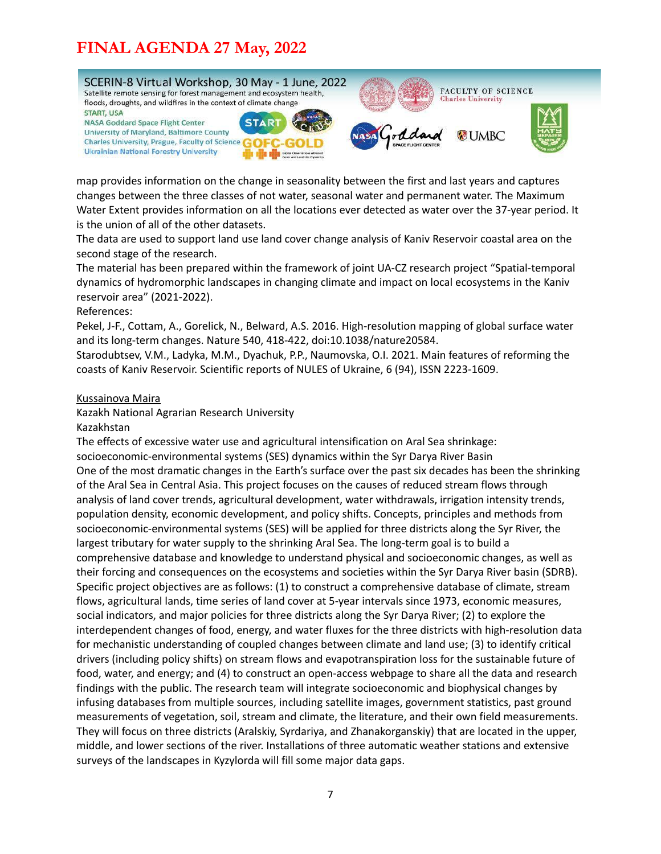

map provides information on the change in seasonality between the first and last years and captures changes between the three classes of not water, seasonal water and permanent water. The Maximum Water Extent provides information on all the locations ever detected as water over the 37-year period. It is the union of all of the other datasets.

The data are used to support land use land cover change analysis of Kaniv Reservoir coastal area on the second stage of the research.

The material has been prepared within the framework of joint UA-CZ research project "Spatial-temporal dynamics of hydromorphic landscapes in changing climate and impact on local ecosystems in the Kaniv reservoir area" (2021-2022).

References:

Pekel, J-F., Cottam, A., Gorelick, N., Belward, A.S. 2016. High-resolution mapping of global surface water and its long-term changes. Nature 540, 418-422, doi:10.1038/nature20584.

Starodubtsev, V.M., Ladyka, M.M., Dyachuk, P.P., Naumovska, O.I. 2021. Main features of reforming the coasts of Kaniv Reservoir. Scientific reports of NULES of Ukraine, 6 (94), ISSN 2223-1609.

#### Kussainova Maira

#### Kazakh National Agrarian Research University

#### Kazakhstan

The effects of excessive water use and agricultural intensification on Aral Sea shrinkage: socioeconomic-environmental systems (SES) dynamics within the Syr Darya River Basin One of the most dramatic changes in the Earth's surface over the past six decades has been the shrinking of the Aral Sea in Central Asia. This project focuses on the causes of reduced stream flows through analysis of land cover trends, agricultural development, water withdrawals, irrigation intensity trends, population density, economic development, and policy shifts. Concepts, principles and methods from socioeconomic-environmental systems (SES) will be applied for three districts along the Syr River, the largest tributary for water supply to the shrinking Aral Sea. The long-term goal is to build a comprehensive database and knowledge to understand physical and socioeconomic changes, as well as their forcing and consequences on the ecosystems and societies within the Syr Darya River basin (SDRB). Specific project objectives are as follows: (1) to construct a comprehensive database of climate, stream flows, agricultural lands, time series of land cover at 5-year intervals since 1973, economic measures, social indicators, and major policies for three districts along the Syr Darya River; (2) to explore the interdependent changes of food, energy, and water fluxes for the three districts with high-resolution data for mechanistic understanding of coupled changes between climate and land use; (3) to identify critical drivers (including policy shifts) on stream flows and evapotranspiration loss for the sustainable future of food, water, and energy; and (4) to construct an open-access webpage to share all the data and research findings with the public. The research team will integrate socioeconomic and biophysical changes by infusing databases from multiple sources, including satellite images, government statistics, past ground measurements of vegetation, soil, stream and climate, the literature, and their own field measurements. They will focus on three districts (Aralskiy, Syrdariya, and Zhanakorganskiy) that are located in the upper, middle, and lower sections of the river. Installations of three automatic weather stations and extensive surveys of the landscapes in Kyzylorda will fill some major data gaps.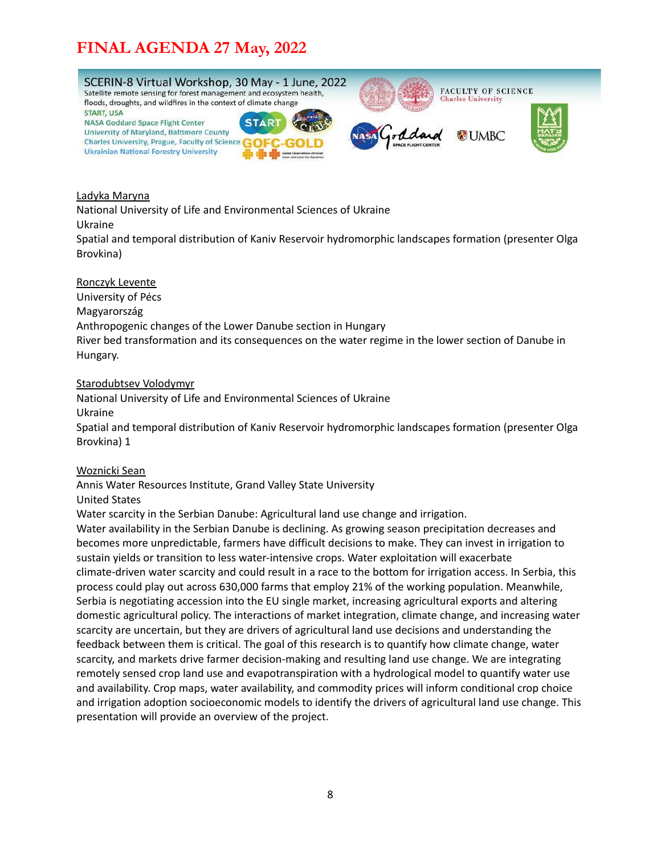

#### Ladyka Maryna

National University of Life and Environmental Sciences of Ukraine Ukraine

Spatial and temporal distribution of Kaniv Reservoir hydromorphic landscapes formation (presenter Olga Brovkina)

#### Ronczyk Levente

University of Pécs Magyarország Anthropogenic changes of the Lower Danube section in Hungary River bed transformation and its consequences on the water regime in the lower section of Danube in Hungary.

#### Starodubtsev Volodymyr

National University of Life and Environmental Sciences of Ukraine Ukraine Spatial and temporal distribution of Kaniv Reservoir hydromorphic landscapes formation (presenter Olga Brovkina) 1

#### Woznicki Sean

Annis Water Resources Institute, Grand Valley State University

#### United States

Water scarcity in the Serbian Danube: Agricultural land use change and irrigation.

Water availability in the Serbian Danube is declining. As growing season precipitation decreases and becomes more unpredictable, farmers have difficult decisions to make. They can invest in irrigation to sustain yields or transition to less water-intensive crops. Water exploitation will exacerbate climate-driven water scarcity and could result in a race to the bottom for irrigation access. In Serbia, this process could play out across 630,000 farms that employ 21% of the working population. Meanwhile, Serbia is negotiating accession into the EU single market, increasing agricultural exports and altering domestic agricultural policy. The interactions of market integration, climate change, and increasing water scarcity are uncertain, but they are drivers of agricultural land use decisions and understanding the feedback between them is critical. The goal of this research is to quantify how climate change, water scarcity, and markets drive farmer decision-making and resulting land use change. We are integrating remotely sensed crop land use and evapotranspiration with a hydrological model to quantify water use and availability. Crop maps, water availability, and commodity prices will inform conditional crop choice and irrigation adoption socioeconomic models to identify the drivers of agricultural land use change. This presentation will provide an overview of the project.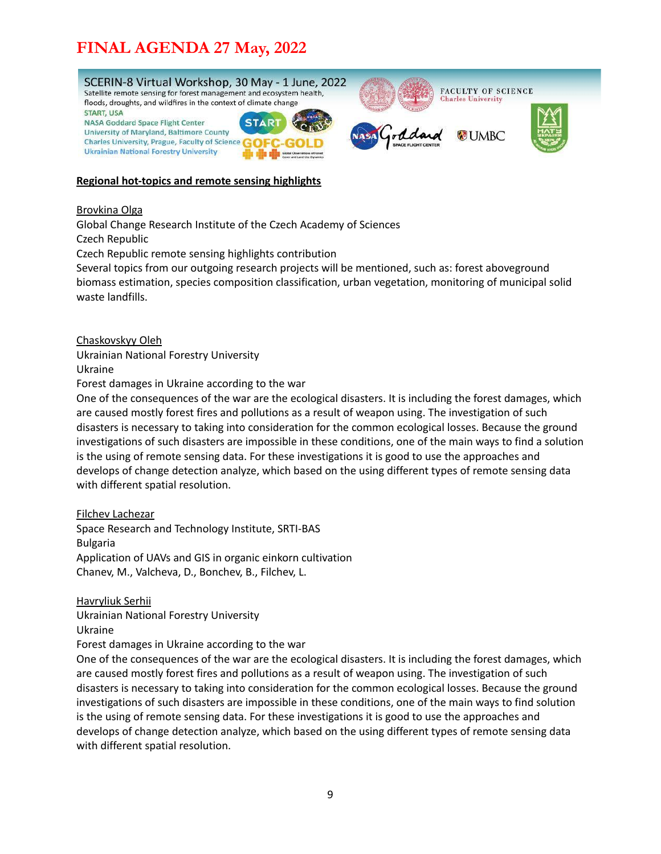

#### <span id="page-8-0"></span>**Regional hot-topics and remote sensing highlights**

#### Brovkina Olga

Global Change Research Institute of the Czech Academy of Sciences Czech Republic

Czech Republic remote sensing highlights contribution

Several topics from our outgoing research projects will be mentioned, such as: forest aboveground biomass estimation, species composition classification, urban vegetation, monitoring of municipal solid waste landfills.

Chaskovskyy Oleh

Ukrainian National Forestry University

Ukraine

Forest damages in Ukraine according to the war

One of the consequences of the war are the ecological disasters. It is including the forest damages, which are caused mostly forest fires and pollutions as a result of weapon using. The investigation of such disasters is necessary to taking into consideration for the common ecological losses. Because the ground investigations of such disasters are impossible in these conditions, one of the main ways to find a solution is the using of remote sensing data. For these investigations it is good to use the approaches and develops of change detection analyze, which based on the using different types of remote sensing data with different spatial resolution.

#### Filchev Lachezar

Space Research and Technology Institute, SRTI-BAS Bulgaria Application of UAVs and GIS in organic einkorn cultivation Chanev, M., Valcheva, D., Bonchev, B., Filchev, L.

Havryliuk Serhii

Ukrainian National Forestry University Ukraine

Forest damages in Ukraine according to the war

One of the consequences of the war are the ecological disasters. It is including the forest damages, which are caused mostly forest fires and pollutions as a result of weapon using. The investigation of such disasters is necessary to taking into consideration for the common ecological losses. Because the ground investigations of such disasters are impossible in these conditions, one of the main ways to find solution is the using of remote sensing data. For these investigations it is good to use the approaches and develops of change detection analyze, which based on the using different types of remote sensing data with different spatial resolution.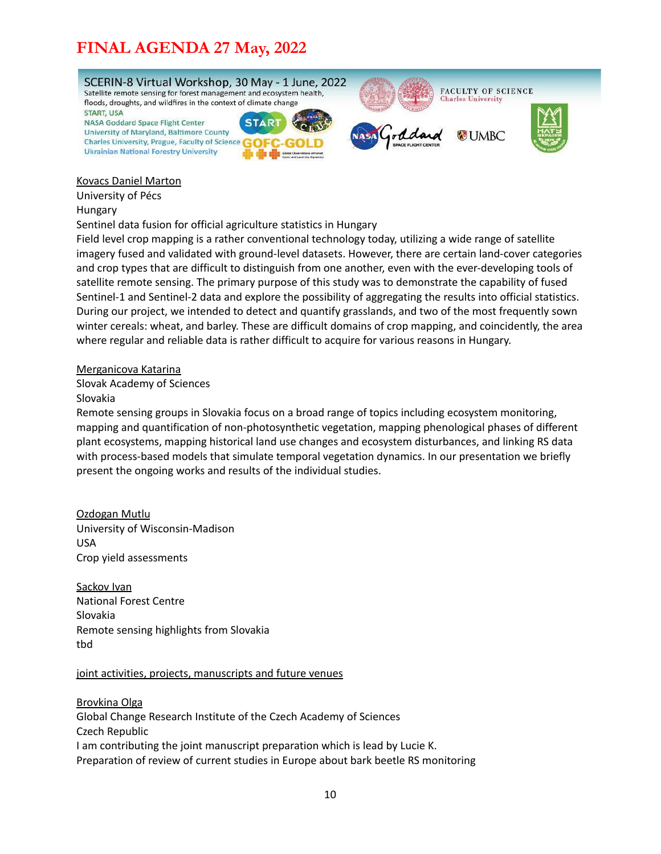

#### Kovacs Daniel Marton

University of Pécs

#### Hungary

Sentinel data fusion for official agriculture statistics in Hungary

Field level crop mapping is a rather conventional technology today, utilizing a wide range of satellite imagery fused and validated with ground-level datasets. However, there are certain land-cover categories and crop types that are difficult to distinguish from one another, even with the ever-developing tools of satellite remote sensing. The primary purpose of this study was to demonstrate the capability of fused Sentinel-1 and Sentinel-2 data and explore the possibility of aggregating the results into official statistics. During our project, we intended to detect and quantify grasslands, and two of the most frequently sown winter cereals: wheat, and barley. These are difficult domains of crop mapping, and coincidently, the area where regular and reliable data is rather difficult to acquire for various reasons in Hungary.

#### Merganicova Katarina

Slovak Academy of Sciences

#### Slovakia

Remote sensing groups in Slovakia focus on a broad range of topics including ecosystem monitoring, mapping and quantification of non-photosynthetic vegetation, mapping phenological phases of different plant ecosystems, mapping historical land use changes and ecosystem disturbances, and linking RS data with process-based models that simulate temporal vegetation dynamics. In our presentation we briefly present the ongoing works and results of the individual studies.

#### Ozdogan Mutlu

University of Wisconsin-Madison USA Crop yield assessments

Sackov Ivan National Forest Centre Slovakia Remote sensing highlights from Slovakia tbd

#### joint activities, projects, manuscripts and future venues

Brovkina Olga Global Change Research Institute of the Czech Academy of Sciences Czech Republic I am contributing the joint manuscript preparation which is lead by Lucie K. Preparation of review of current studies in Europe about bark beetle RS monitoring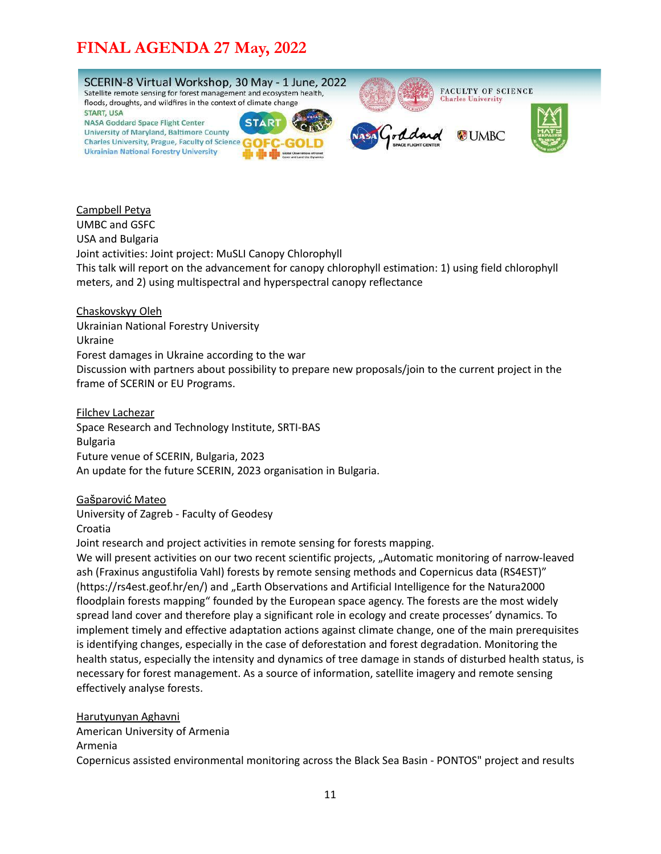

Campbell Petya UMBC and GSFC USA and Bulgaria Joint activities: Joint project: MuSLI Canopy Chlorophyll This talk will report on the advancement for canopy chlorophyll estimation: 1) using field chlorophyll meters, and 2) using multispectral and hyperspectral canopy reflectance

Chaskovskyy Oleh Ukrainian National Forestry University Ukraine Forest damages in Ukraine according to the war Discussion with partners about possibility to prepare new proposals/join to the current project in the frame of SCERIN or EU Programs.

Filchev Lachezar Space Research and Technology Institute, SRTI-BAS Bulgaria Future venue of SCERIN, Bulgaria, 2023 An update for the future SCERIN, 2023 organisation in Bulgaria.

Gašparović Mateo

University of Zagreb - Faculty of Geodesy Croatia

Joint research and project activities in remote sensing for forests mapping.

We will present activities on our two recent scientific projects, "Automatic monitoring of narrow-leaved ash (Fraxinus angustifolia Vahl) forests by remote sensing methods and Copernicus data (RS4EST)" (https://rs4est.geof.hr/en/) and "Earth Observations and Artificial Intelligence for the Natura2000 floodplain forests mapping" founded by the European space agency. The forests are the most widely spread land cover and therefore play a significant role in ecology and create processes' dynamics. To implement timely and effective adaptation actions against climate change, one of the main prerequisites is identifying changes, especially in the case of deforestation and forest degradation. Monitoring the health status, especially the intensity and dynamics of tree damage in stands of disturbed health status, is necessary for forest management. As a source of information, satellite imagery and remote sensing effectively analyse forests.

Harutyunyan Aghavni American University of Armenia Armenia Copernicus assisted environmental monitoring across the Black Sea Basin - PONTOS" project and results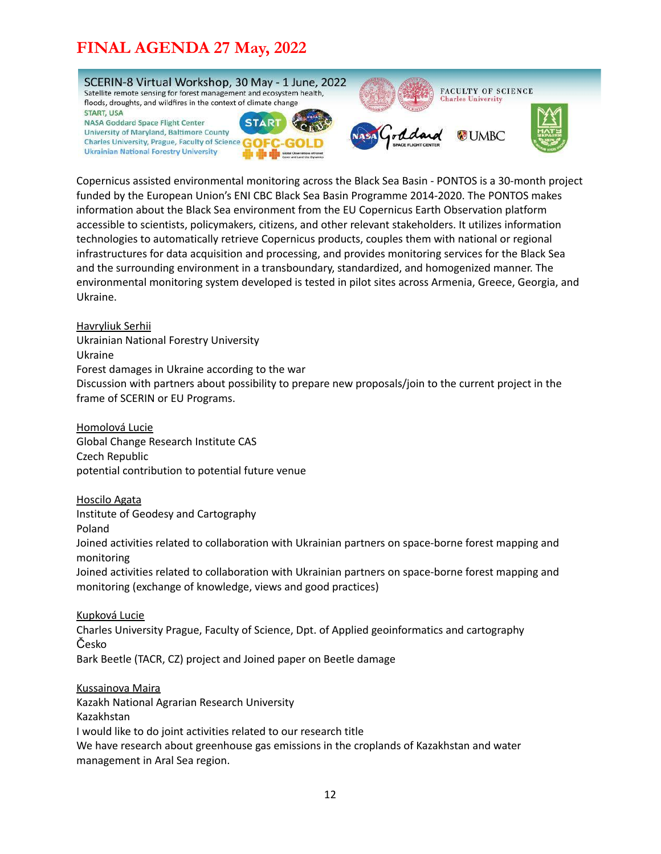

Copernicus assisted environmental monitoring across the Black Sea Basin - PONTOS is a 30-month project funded by the European Union's ENI CBC Black Sea Basin Programme 2014-2020. The PONTOS makes information about the Black Sea environment from the EU Copernicus Earth Observation platform accessible to scientists, policymakers, citizens, and other relevant stakeholders. It utilizes information technologies to automatically retrieve Copernicus products, couples them with national or regional infrastructures for data acquisition and processing, and provides monitoring services for the Black Sea and the surrounding environment in a transboundary, standardized, and homogenized manner. The environmental monitoring system developed is tested in pilot sites across Armenia, Greece, Georgia, and Ukraine.

Havryliuk Serhii Ukrainian National Forestry University Ukraine Forest damages in Ukraine according to the war Discussion with partners about possibility to prepare new proposals/join to the current project in the frame of SCERIN or EU Programs.

Homolová Lucie Global Change Research Institute CAS Czech Republic potential contribution to potential future venue

Hoscilo Agata Institute of Geodesy and Cartography Poland

Joined activities related to collaboration with Ukrainian partners on space-borne forest mapping and monitoring

Joined activities related to collaboration with Ukrainian partners on space-borne forest mapping and monitoring (exchange of knowledge, views and good practices)

Kupková Lucie Charles University Prague, Faculty of Science, Dpt. of Applied geoinformatics and cartography Česko Bark Beetle (TACR, CZ) project and Joined paper on Beetle damage

Kussainova Maira Kazakh National Agrarian Research University Kazakhstan I would like to do joint activities related to our research title We have research about greenhouse gas emissions in the croplands of Kazakhstan and water management in Aral Sea region.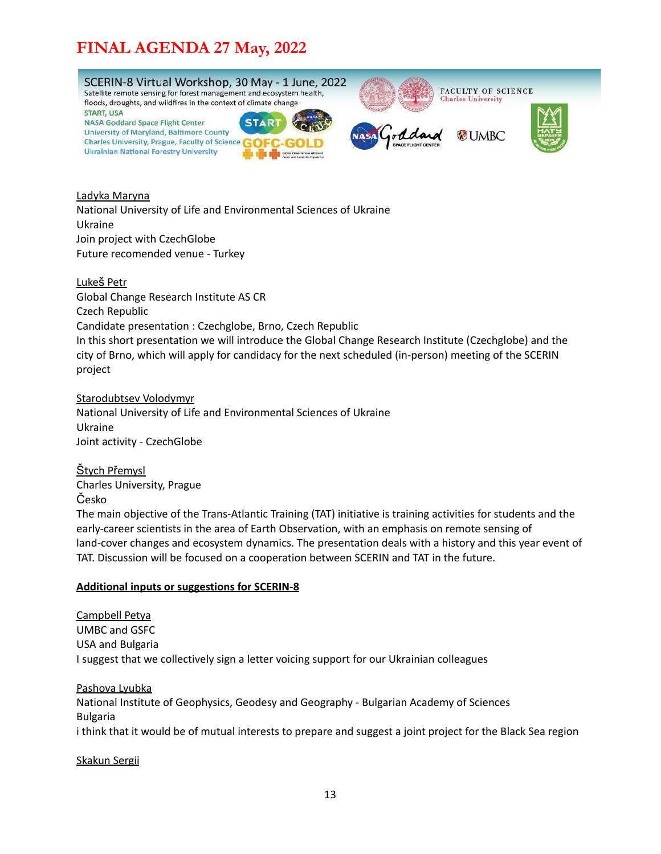

Ladyka Maryna National University of Life and Environmental Sciences of Ukraine Ukraine Join project with CzechGlobe Future recomended venue - Turkey

Lukeš Petr Global Change Research Institute AS CR Czech Republic Candidate presentation : Czechglobe, Brno, Czech Republic In this short presentation we will introduce the Global Change Research Institute (Czechglobe) and the city of Brno, which will apply for candidacy for the next scheduled (in-person) meeting of the SCERIN project

Starodubtsev Volodymyr National University of Life and Environmental Sciences of Ukraine Ukraine Joint activity - CzechGlobe

Štych Přemysl Charles University, Prague Česko

The main objective of the Trans-Atlantic Training (TAT) initiative is training activities for students and the early-career scientists in the area of Earth Observation, with an emphasis on remote sensing of land-cover changes and ecosystem dynamics. The presentation deals with a history and this year event of TAT. Discussion will be focused on a cooperation between SCERIN and TAT in the future.

#### <span id="page-12-0"></span>**Additional inputs or suggestions for SCERIN-8**

Campbell Petya UMBC and GSFC USA and Bulgaria I suggest that we collectively sign a letter voicing support for our Ukrainian colleagues

Pashova Lyubka National Institute of Geophysics, Geodesy and Geography - Bulgarian Academy of Sciences Bulgaria i think that it would be of mutual interests to prepare and suggest a joint project for the Black Sea region

#### Skakun Sergii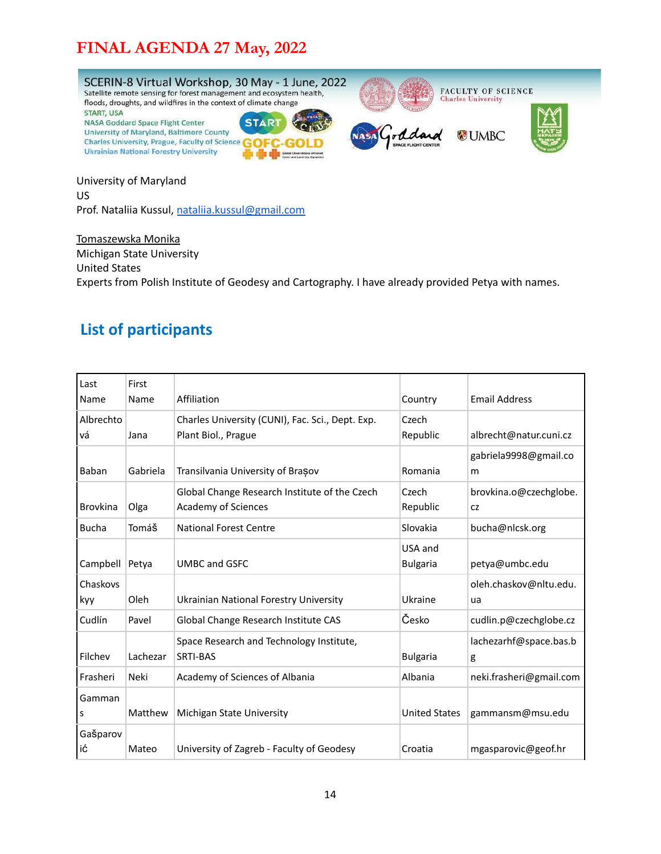

University of Maryland US Prof. Nataliia Kussul, [nataliia.kussul@gmail.com](mailto:nataliia.kussul@gmail.com)

Tomaszewska Monika Michigan State University United States Experts from Polish Institute of Geodesy and Cartography. I have already provided Petya with names.

### <span id="page-13-0"></span>**List of participants**

| Last<br>Name    | First<br>Name | Affiliation                                                             | Country                    | <b>Email Address</b>         |
|-----------------|---------------|-------------------------------------------------------------------------|----------------------------|------------------------------|
| Albrechto<br>vá | Jana          | Charles University (CUNI), Fac. Sci., Dept. Exp.<br>Plant Biol., Prague | Czech<br>Republic          | albrecht@natur.cuni.cz       |
| Baban           | Gabriela      | Transilvania University of Brasov                                       | Romania                    | gabriela9998@gmail.co<br>m   |
| <b>Brovkina</b> | Olga          | Global Change Research Institute of the Czech<br>Academy of Sciences    | Czech<br>Republic          | brovkina.o@czechglobe.<br>CZ |
| <b>Bucha</b>    | Tomáš         | <b>National Forest Centre</b>                                           | Slovakia                   | bucha@nlcsk.org              |
| Campbell        | Petya         | <b>UMBC and GSFC</b>                                                    | USA and<br><b>Bulgaria</b> | petya@umbc.edu               |
| Chaskovs<br>kyy | Oleh          | Ukrainian National Forestry University                                  | Ukraine                    | oleh.chaskov@nltu.edu.<br>ua |
| Cudlín          | Pavel         | Global Change Research Institute CAS                                    | Česko                      | cudlin.p@czechglobe.cz       |
| Filchev         | Lachezar      | Space Research and Technology Institute,<br><b>SRTI-BAS</b>             | <b>Bulgaria</b>            | lachezarhf@space.bas.b<br>g  |
| Frasheri        | Neki          | Academy of Sciences of Albania                                          | Albania                    | neki.frasheri@gmail.com      |
| Gamman<br>s     | Matthew       | Michigan State University                                               | <b>United States</b>       | gammansm@msu.edu             |
| GaŠparov<br>ić  | Mateo         | University of Zagreb - Faculty of Geodesy                               | Croatia                    | mgasparovic@geof.hr          |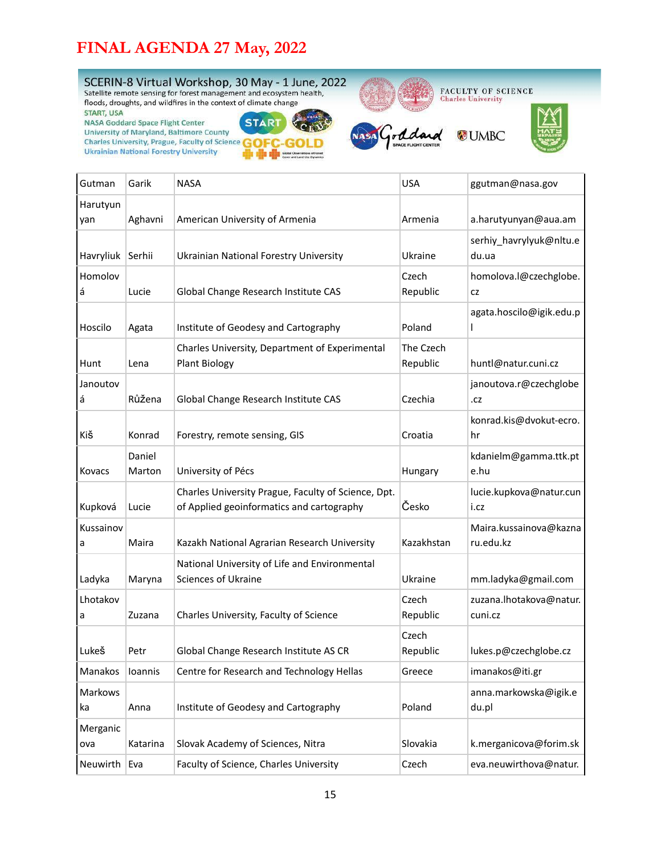

| Harutyun<br>yan | Aghavni          | American University of Armenia                                                                   | Armenia               | a.harutyunyan@aua.am                |
|-----------------|------------------|--------------------------------------------------------------------------------------------------|-----------------------|-------------------------------------|
| Havryliuk       | Serhii           | <b>Ukrainian National Forestry University</b>                                                    | Ukraine               | serhiy_havrylyuk@nltu.e<br>du.ua    |
| Homolov<br>á    | Lucie            | Global Change Research Institute CAS                                                             | Czech<br>Republic     | homolova.l@czechglobe.<br>CZ        |
| Hoscilo         | Agata            | Institute of Geodesy and Cartography                                                             | Poland                | agata.hoscilo@igik.edu.p            |
| Hunt            | Lena             | Charles University, Department of Experimental<br><b>Plant Biology</b>                           | The Czech<br>Republic | huntl@natur.cuni.cz                 |
| Janoutov<br>á   | Růžena           | Global Change Research Institute CAS                                                             | Czechia               | janoutova.r@czechglobe<br>.cz       |
| KiŠ             | Konrad           | Forestry, remote sensing, GIS                                                                    | Croatia               | konrad.kis@dvokut-ecro.<br>hr       |
| Kovacs          | Daniel<br>Marton | University of Pécs                                                                               | Hungary               | kdanielm@gamma.ttk.pt<br>e.hu       |
| Kupková         | Lucie            | Charles University Prague, Faculty of Science, Dpt.<br>of Applied geoinformatics and cartography | Česko                 | lucie.kupkova@natur.cun<br>i.cz     |
| Kussainov<br>а  | Maira            | Kazakh National Agrarian Research University                                                     | Kazakhstan            | Maira.kussainova@kazna<br>ru.edu.kz |
| Ladyka          | Maryna           | National University of Life and Environmental<br>Sciences of Ukraine                             | Ukraine               | mm.ladyka@gmail.com                 |
| Lhotakov<br>a   | Zuzana           | Charles University, Faculty of Science                                                           | Czech<br>Republic     | zuzana. Ihotakova@natur.<br>cuni.cz |
| Lukeš           | Petr             | Global Change Research Institute AS CR                                                           | Czech<br>Republic     | lukes.p@czechglobe.cz               |
| Manakos loannis |                  | Centre for Research and Technology Hellas                                                        | Greece                | imanakos@iti.gr                     |
| Markows<br>ka   | Anna             | Institute of Geodesy and Cartography                                                             | Poland                | anna.markowska@igik.e<br>du.pl      |
| Merganic<br>ova | Katarina         | Slovak Academy of Sciences, Nitra                                                                | Slovakia              | k.merganicova@forim.sk              |
| Neuwirth   Eva  |                  | Faculty of Science, Charles University                                                           | Czech                 | eva.neuwirthova@natur.              |